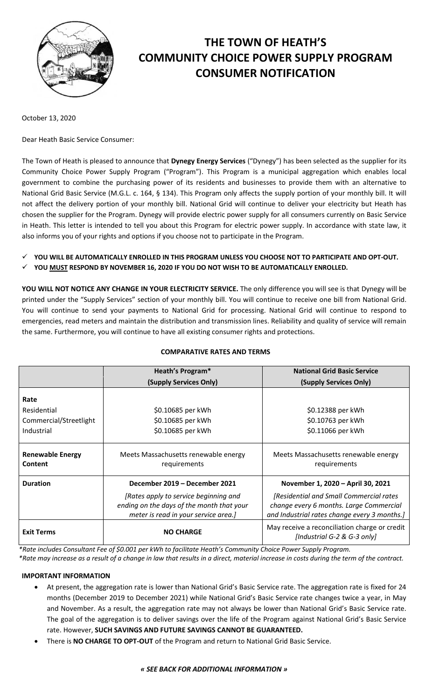

# **THE TOWN OF HEATH'S COMMUNITY CHOICE POWER SUPPLY PROGRAM CONSUMER NOTIFICATION**

October 13, 2020

Dear Heath Basic Service Consumer:

The Town of Heath is pleased to announce that **Dynegy Energy Services** ("Dynegy") has been selected as the supplier for its Community Choice Power Supply Program ("Program"). This Program is a municipal aggregation which enables local government to combine the purchasing power of its residents and businesses to provide them with an alternative to National Grid Basic Service (M.G.L. c. 164, § 134). This Program only affects the supply portion of your monthly bill. It will not affect the delivery portion of your monthly bill. National Grid will continue to deliver your electricity but Heath has chosen the supplier for the Program. Dynegy will provide electric power supply for all consumers currently on Basic Service in Heath. This letter is intended to tell you about this Program for electric power supply. In accordance with state law, it also informs you of your rights and options if you choose not to participate in the Program.

- **YOU WILL BE AUTOMATICALLY ENROLLED IN THIS PROGRAM UNLESS YOU CHOOSE NOT TO PARTICIPATE AND OPT-OUT.**
- **YOU MUST RESPOND BY NOVEMBER 16, 2020 IF YOU DO NOT WISH TO BE AUTOMATICALLY ENROLLED.**

**YOU WILL NOT NOTICE ANY CHANGE IN YOUR ELECTRICITY SERVICE.** The only difference you will see is that Dynegy will be printed under the "Supply Services" section of your monthly bill. You will continue to receive one bill from National Grid. You will continue to send your payments to National Grid for processing. National Grid will continue to respond to emergencies, read meters and maintain the distribution and transmission lines. Reliability and quality of service will remain the same. Furthermore, you will continue to have all existing consumer rights and protections.

# **COMPARATIVE RATES AND TERMS**

|                                    | <b>Heath's Program*</b>                                                                                                    | <b>National Grid Basic Service</b>                                                                                                 |
|------------------------------------|----------------------------------------------------------------------------------------------------------------------------|------------------------------------------------------------------------------------------------------------------------------------|
|                                    | (Supply Services Only)                                                                                                     | (Supply Services Only)                                                                                                             |
| Rate                               |                                                                                                                            |                                                                                                                                    |
| Residential                        | \$0.10685 per kWh                                                                                                          | \$0.12388 per kWh                                                                                                                  |
| Commercial/Streetlight             | \$0.10685 per kWh                                                                                                          | \$0.10763 per kWh                                                                                                                  |
| Industrial                         | \$0.10685 per kWh                                                                                                          | \$0.11066 per kWh                                                                                                                  |
|                                    |                                                                                                                            |                                                                                                                                    |
| <b>Renewable Energy</b><br>Content | Meets Massachusetts renewable energy<br>requirements                                                                       | Meets Massachusetts renewable energy<br>requirements                                                                               |
| <b>Duration</b>                    | December 2019 – December 2021                                                                                              | November 1, 2020 - April 30, 2021                                                                                                  |
|                                    | [Rates apply to service beginning and<br>ending on the days of the month that your<br>meter is read in your service area.] | [Residential and Small Commercial rates<br>change every 6 months. Large Commercial<br>and Industrial rates change every 3 months.] |
| <b>Exit Terms</b>                  | <b>NO CHARGE</b>                                                                                                           | May receive a reconciliation charge or credit<br>[Industrial G-2 & G-3 only]                                                       |

*\*Rate includes Consultant Fee of \$0.001 per kWh to facilitate Heath's Community Choice Power Supply Program.*

*\*Rate may increase as a result of a change in law that results in a direct, material increase in costs during the term of the contract.*

## **IMPORTANT INFORMATION**

- At present, the aggregation rate is lower than National Grid's Basic Service rate. The aggregation rate is fixed for 24 months (December 2019 to December 2021) while National Grid's Basic Service rate changes twice a year, in May and November. As a result, the aggregation rate may not always be lower than National Grid's Basic Service rate. The goal of the aggregation is to deliver savings over the life of the Program against National Grid's Basic Service rate. However, **SUCH SAVINGS AND FUTURE SAVINGS CANNOT BE GUARANTEED.**
- There is **NO CHARGE TO OPT-OUT** of the Program and return to National Grid Basic Service.